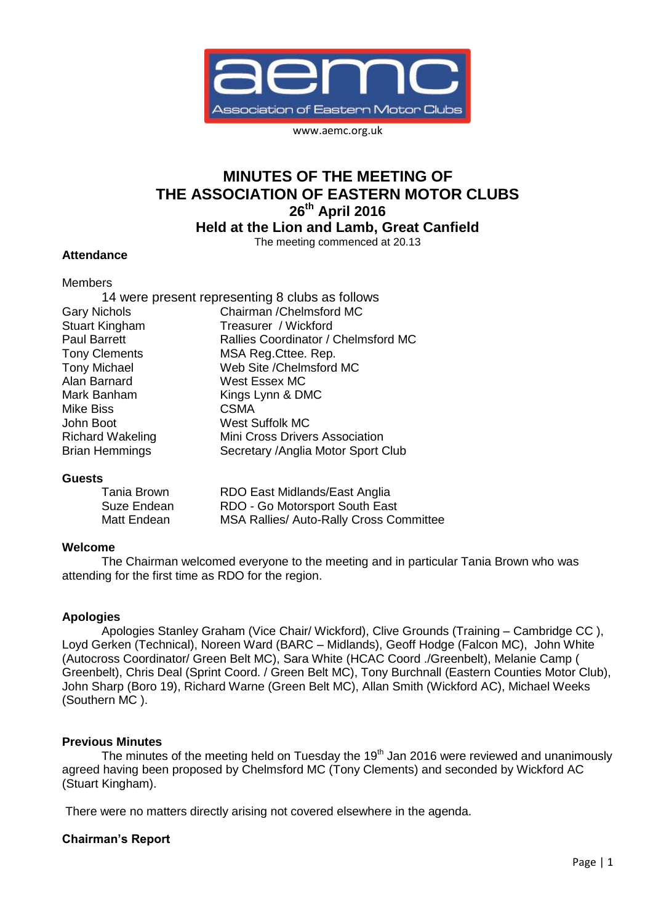

www.aemc.org.uk

# **MINUTES OF THE MEETING OF THE ASSOCIATION OF EASTERN MOTOR CLUBS 26th April 2016**

**Held at the Lion and Lamb, Great Canfield**

The meeting commenced at 20.13

#### **Attendance**

#### Members

|                       | 14 were present representing 8 clubs as follows |
|-----------------------|-------------------------------------------------|
| <b>Gary Nichols</b>   | Chairman / Chelmsford MC                        |
| Stuart Kingham        | Treasurer / Wickford                            |
| Paul Barrett          | Rallies Coordinator / Chelmsford MC             |
| <b>Tony Clements</b>  | MSA Reg. Cttee. Rep.                            |
| <b>Tony Michael</b>   | Web Site / Chelmsford MC                        |
| Alan Barnard          | West Essex MC                                   |
| Mark Banham           | Kings Lynn & DMC                                |
| Mike Biss             | <b>CSMA</b>                                     |
| John Boot             | <b>West Suffolk MC</b>                          |
| Richard Wakeling      | Mini Cross Drivers Association                  |
| <b>Brian Hemmings</b> | Secretary / Anglia Motor Sport Club             |

#### **Guests**

| Tania Brown | RDO East Midlands/East Anglia           |
|-------------|-----------------------------------------|
| Suze Endean | RDO - Go Motorsport South East          |
| Matt Endean | MSA Rallies/ Auto-Rally Cross Committee |

## **Welcome**

The Chairman welcomed everyone to the meeting and in particular Tania Brown who was attending for the first time as RDO for the region.

## **Apologies**

Apologies Stanley Graham (Vice Chair/ Wickford), Clive Grounds (Training – Cambridge CC ), Loyd Gerken (Technical), Noreen Ward (BARC – Midlands), Geoff Hodge (Falcon MC), John White (Autocross Coordinator/ Green Belt MC), Sara White (HCAC Coord ./Greenbelt), Melanie Camp ( Greenbelt), Chris Deal (Sprint Coord. / Green Belt MC), Tony Burchnall (Eastern Counties Motor Club), John Sharp (Boro 19), Richard Warne (Green Belt MC), Allan Smith (Wickford AC), Michael Weeks (Southern MC ).

## **Previous Minutes**

The minutes of the meeting held on Tuesday the 19<sup>th</sup> Jan 2016 were reviewed and unanimously agreed having been proposed by Chelmsford MC (Tony Clements) and seconded by Wickford AC (Stuart Kingham).

There were no matters directly arising not covered elsewhere in the agenda.

## **Chairman's Report**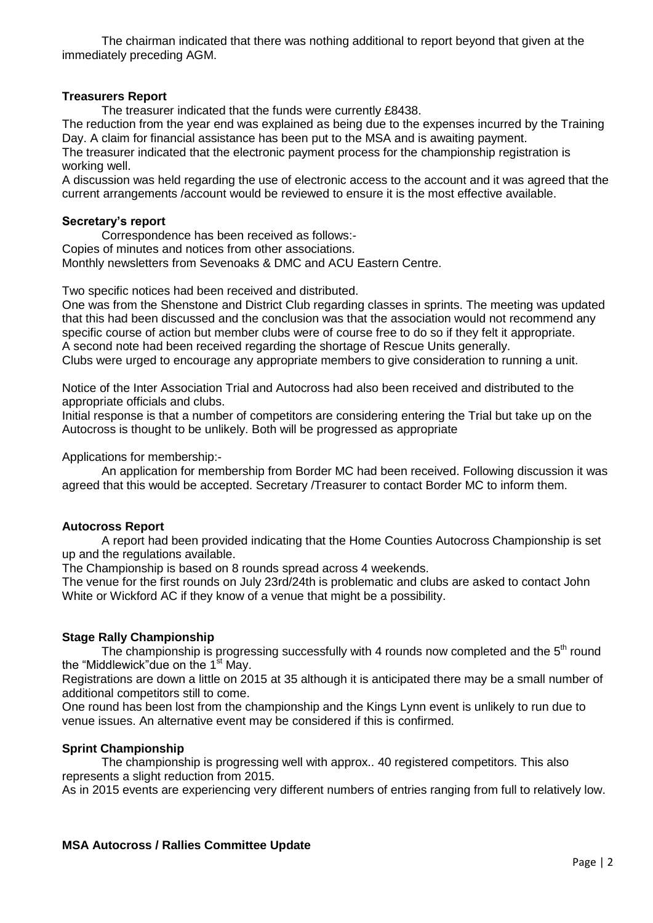The chairman indicated that there was nothing additional to report beyond that given at the immediately preceding AGM.

#### **Treasurers Report**

The treasurer indicated that the funds were currently £8438.

The reduction from the year end was explained as being due to the expenses incurred by the Training Day. A claim for financial assistance has been put to the MSA and is awaiting payment.

The treasurer indicated that the electronic payment process for the championship registration is working well.

A discussion was held regarding the use of electronic access to the account and it was agreed that the current arrangements /account would be reviewed to ensure it is the most effective available.

#### **Secretary's report**

Correspondence has been received as follows:- Copies of minutes and notices from other associations. Monthly newsletters from Sevenoaks & DMC and ACU Eastern Centre.

Two specific notices had been received and distributed.

One was from the Shenstone and District Club regarding classes in sprints. The meeting was updated that this had been discussed and the conclusion was that the association would not recommend any specific course of action but member clubs were of course free to do so if they felt it appropriate. A second note had been received regarding the shortage of Rescue Units generally.

Clubs were urged to encourage any appropriate members to give consideration to running a unit.

Notice of the Inter Association Trial and Autocross had also been received and distributed to the appropriate officials and clubs.

Initial response is that a number of competitors are considering entering the Trial but take up on the Autocross is thought to be unlikely. Both will be progressed as appropriate

Applications for membership:-

An application for membership from Border MC had been received. Following discussion it was agreed that this would be accepted. Secretary /Treasurer to contact Border MC to inform them.

## **Autocross Report**

A report had been provided indicating that the Home Counties Autocross Championship is set up and the regulations available.

The Championship is based on 8 rounds spread across 4 weekends.

The venue for the first rounds on July 23rd/24th is problematic and clubs are asked to contact John White or Wickford AC if they know of a venue that might be a possibility.

## **Stage Rally Championship**

The championship is progressing successfully with 4 rounds now completed and the  $5<sup>th</sup>$  round the "Middlewick"due on the 1<sup>st</sup> May.

Registrations are down a little on 2015 at 35 although it is anticipated there may be a small number of additional competitors still to come.

One round has been lost from the championship and the Kings Lynn event is unlikely to run due to venue issues. An alternative event may be considered if this is confirmed.

## **Sprint Championship**

The championship is progressing well with approx.. 40 registered competitors. This also represents a slight reduction from 2015.

As in 2015 events are experiencing very different numbers of entries ranging from full to relatively low.

## **MSA Autocross / Rallies Committee Update**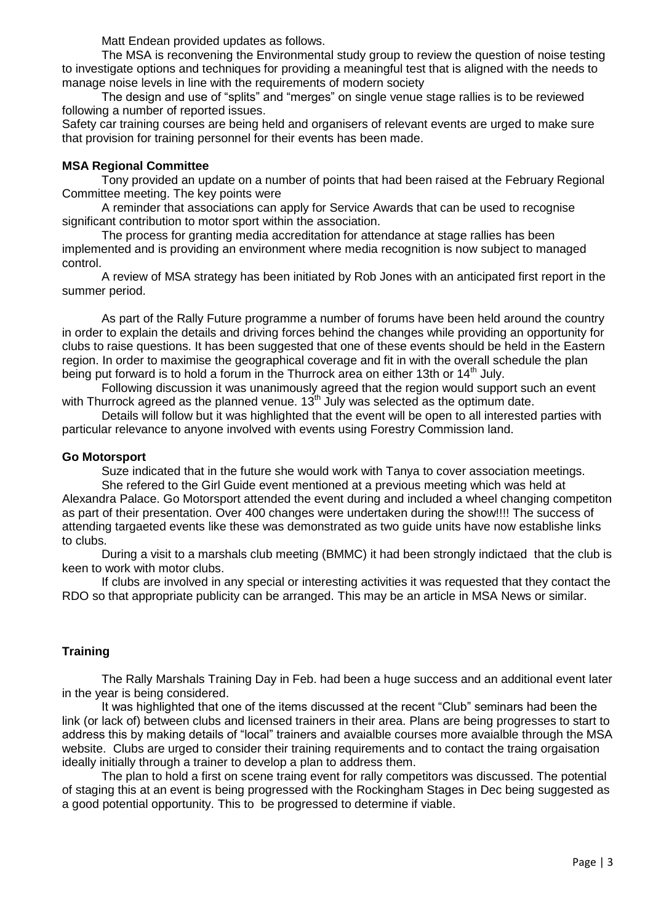Matt Endean provided updates as follows.

The MSA is reconvening the Environmental study group to review the question of noise testing to investigate options and techniques for providing a meaningful test that is aligned with the needs to manage noise levels in line with the requirements of modern society

The design and use of "splits" and "merges" on single venue stage rallies is to be reviewed following a number of reported issues.

Safety car training courses are being held and organisers of relevant events are urged to make sure that provision for training personnel for their events has been made.

## **MSA Regional Committee**

Tony provided an update on a number of points that had been raised at the February Regional Committee meeting. The key points were

A reminder that associations can apply for Service Awards that can be used to recognise significant contribution to motor sport within the association.

The process for granting media accreditation for attendance at stage rallies has been implemented and is providing an environment where media recognition is now subject to managed control.

A review of MSA strategy has been initiated by Rob Jones with an anticipated first report in the summer period.

As part of the Rally Future programme a number of forums have been held around the country in order to explain the details and driving forces behind the changes while providing an opportunity for clubs to raise questions. It has been suggested that one of these events should be held in the Eastern region. In order to maximise the geographical coverage and fit in with the overall schedule the plan being put forward is to hold a forum in the Thurrock area on either 13th or  $14<sup>th</sup>$  July.

Following discussion it was unanimously agreed that the region would support such an event with Thurrock agreed as the planned venue.  $13<sup>th</sup>$  July was selected as the optimum date.

Details will follow but it was highlighted that the event will be open to all interested parties with particular relevance to anyone involved with events using Forestry Commission land.

## **Go Motorsport**

Suze indicated that in the future she would work with Tanya to cover association meetings.

She refered to the Girl Guide event mentioned at a previous meeting which was held at Alexandra Palace. Go Motorsport attended the event during and included a wheel changing competiton as part of their presentation. Over 400 changes were undertaken during the show!!!! The success of attending targaeted events like these was demonstrated as two guide units have now establishe links to clubs.

During a visit to a marshals club meeting (BMMC) it had been strongly indictaed that the club is keen to work with motor clubs.

If clubs are involved in any special or interesting activities it was requested that they contact the RDO so that appropriate publicity can be arranged. This may be an article in MSA News or similar.

# **Training**

The Rally Marshals Training Day in Feb. had been a huge success and an additional event later in the year is being considered.

It was highlighted that one of the items discussed at the recent "Club" seminars had been the link (or lack of) between clubs and licensed trainers in their area. Plans are being progresses to start to address this by making details of "local" trainers and avaialble courses more avaialble through the MSA website. Clubs are urged to consider their training requirements and to contact the traing orgaisation ideally initially through a trainer to develop a plan to address them.

The plan to hold a first on scene traing event for rally competitors was discussed. The potential of staging this at an event is being progressed with the Rockingham Stages in Dec being suggested as a good potential opportunity. This to be progressed to determine if viable.